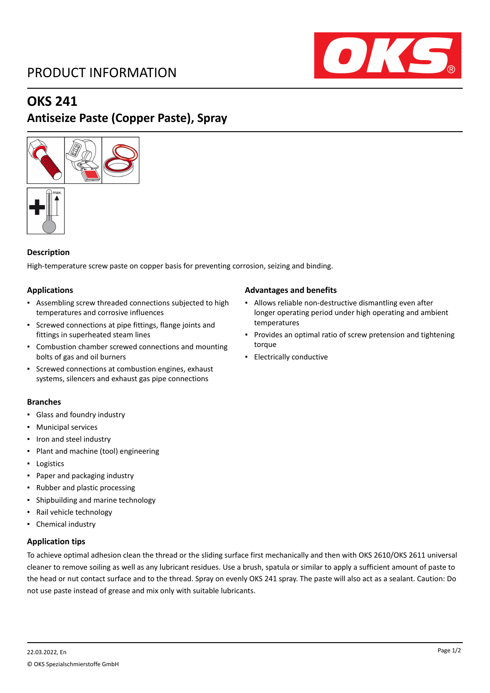# PRODUCT INFORMATION



## **OKS 241**

# **Antiseize Paste (Copper Paste), Spray**





#### **Description**

High-temperature screw paste on copper basis for preventing corrosion, seizing and binding.

#### **Applications**

- Assembling screw threaded connections subjected to high temperatures and corrosive influences
- Screwed connections at pipe fittings, flange joints and fittings in superheated steam lines
- Combustion chamber screwed connections and mounting bolts of gas and oil burners
- Screwed connections at combustion engines, exhaust systems, silencers and exhaust gas pipe connections

#### **Branches**

- Glass and foundry industry
- Municipal services
- Iron and steel industry
- Plant and machine (tool) engineering
- Logistics
- Paper and packaging industry
- Rubber and plastic processing
- Shipbuilding and marine technology
- Rail vehicle technology
- Chemical industry

#### **Application tips**

### To achieve optimal adhesion clean the thread or the sliding surface first mechanically and then with OKS 2610/OKS 2611 universal cleaner to remove soiling as well as any lubricant residues. Use a brush, spatula or similar to apply a sufficient amount of paste to the head or nut contact surface and to the thread. Spray on evenly OKS 241 spray. The paste will also act as a sealant. Caution: Do not use paste instead of grease and mix only with suitable lubricants.

#### **Advantages and benefits**

- Allows reliable non-destructive dismantling even after longer operating period under high operating and ambient temperatures
- Provides an optimal ratio of screw pretension and tightening torque
- Electrically conductive